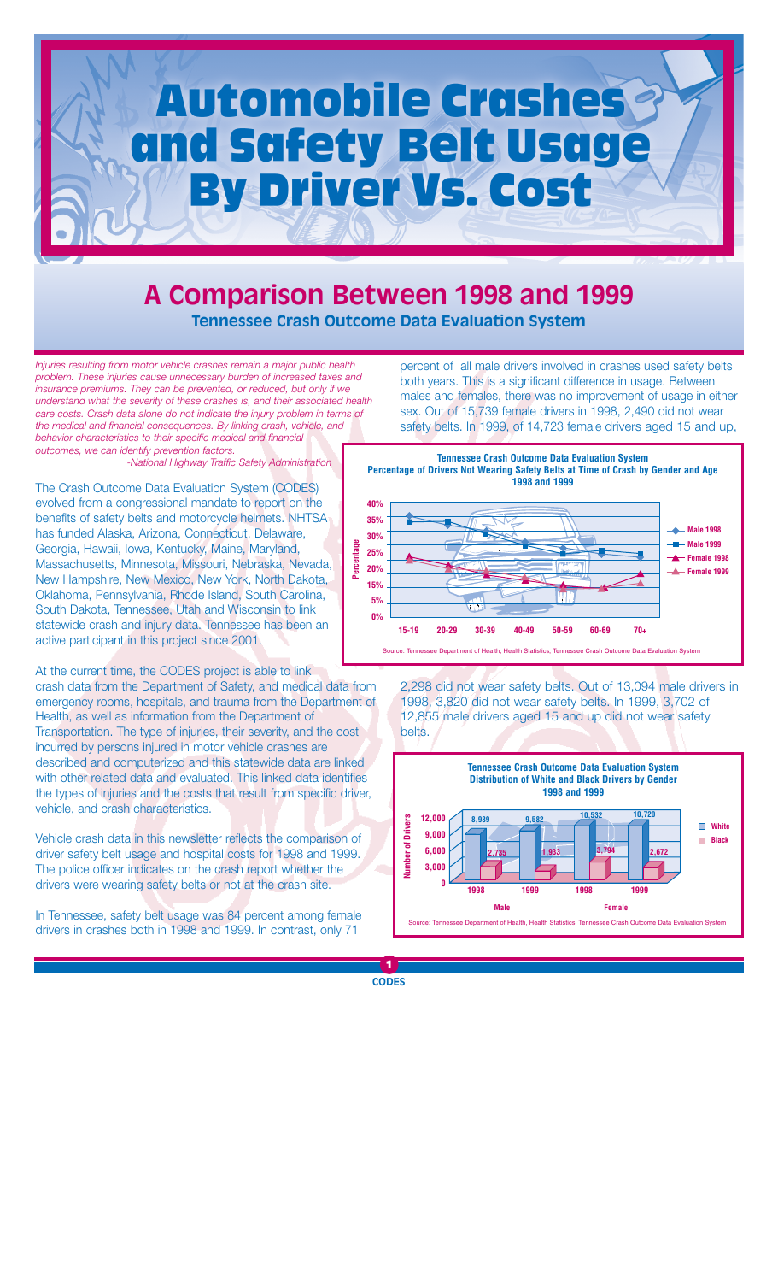# Automobile Crashes and Safety Belt Usage **By Driver Vs. Cost**

# **A Comparison Between 1998 and 1999 Tennessee Crash Outcome Data Evaluation System**

*Injuries resulting from motor vehicle crashes remain a major public health problem. These injuries cause unnecessary burden of increased taxes and insurance premiums. They can be prevented, or reduced, but only if we understand what the severity of these crashes is, and their associated health care costs. Crash data alone do not indicate the injury problem in terms of the medical and financial consequences. By linking crash, vehicle, and behavior characteristics to their specific medical and financial outcomes, we can identify prevention factors.*

*-National Highway Traffic Safety Administration*

The Crash Outcome Data Evaluation System (CODES) evolved from a congressional mandate to report on the benefits of safety belts and motorcycle helmets. NHTSA has funded Alaska, Arizona, Connecticut, Delaware, Georgia, Hawaii, Iowa, Kentucky, Maine, Maryland, Massachusetts, Minnesota, Missouri, Nebraska, Nevada, New Hampshire, New Mexico, New York, North Dakota, Oklahoma, Pennsylvania, Rhode Island, South Carolina, South Dakota, Tennessee, Utah and Wisconsin to link statewide crash and injury data. Tennessee has been an active participant in this project since 2001.

At the current time, the CODES project is able to link crash data from the Department of Safety, and medical data from emergency rooms, hospitals, and trauma from the Department of Health, as well as information from the Department of Transportation. The type of injuries, their severity, and the cost incurred by persons injured in motor vehicle crashes are described and computerized and this statewide data are linked with other related data and evaluated. This linked data identifies the types of injuries and the costs that result from specific driver, vehicle, and crash characteristics.

Vehicle crash data in this newsletter reflects the comparison of driver safety belt usage and hospital costs for 1998 and 1999. The police officer indicates on the crash report whether the drivers were wearing safety belts or not at the crash site.

In Tennessee, safety belt usage was 84 percent among female drivers in crashes both in 1998 and 1999. In contrast, only 71

percent of all male drivers involved in crashes used safety belts both years. This is a significant difference in usage. Between males and females, there was no improvement of usage in either sex. Out of 15,739 female drivers in 1998, 2,490 did not wear safety belts. In 1999, of 14,723 female drivers aged 15 and up,



2,298 did not wear safety belts. Out of 13,094 male drivers in 1998, 3,820 did not wear safety belts. In 1999, 3,702 of 12,855 male drivers aged 15 and up did not wear safety belts.

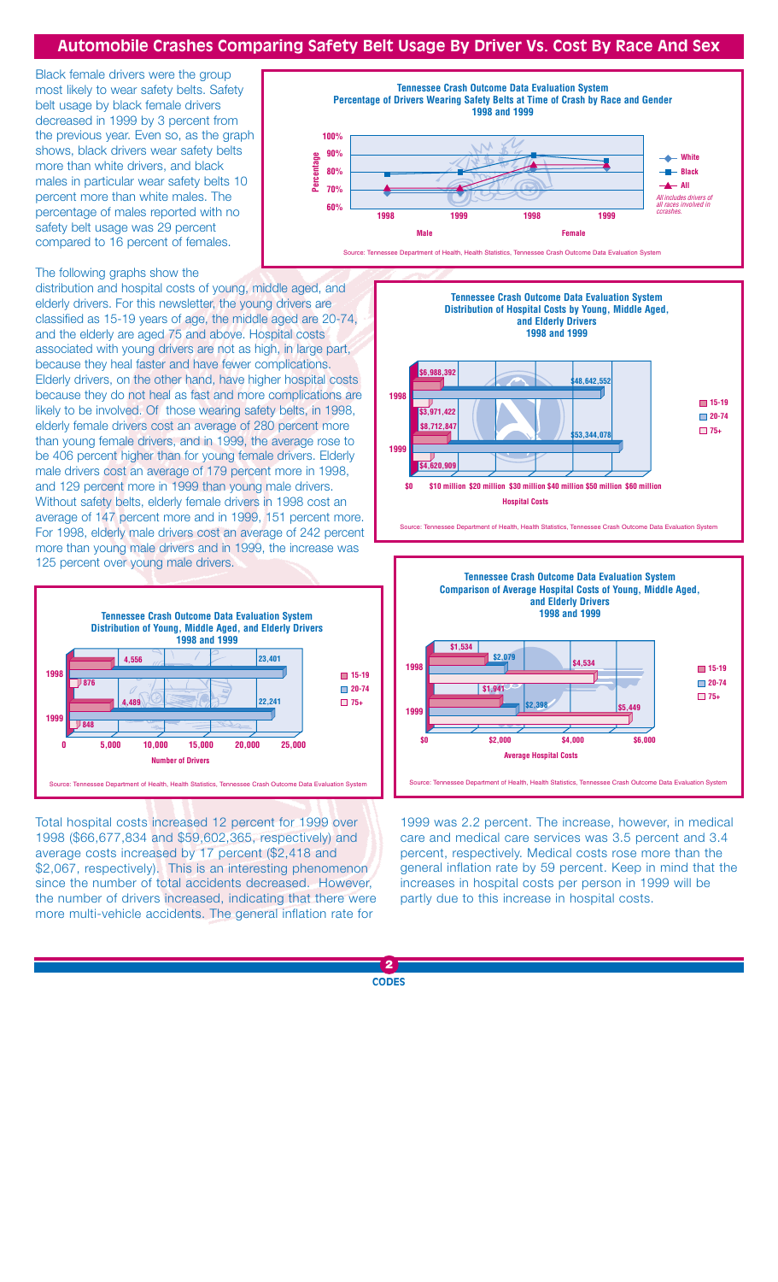### **Automobile Crashes Comparing Safety Belt Usage By Driver Vs. Cost By Race And Sex**

Black female drivers were the group most likely to wear safety belts. Safety belt usage by black female drivers decreased in 1999 by 3 percent from the previous year. Even so, as the graph shows, black drivers wear safety belts more than white drivers, and black males in particular wear safety belts 10 percent more than white males. The percentage of males reported with no safety belt usage was 29 percent compared to 16 percent of females.



#### The following graphs show the

distribution and hospital costs of young, middle aged, and elderly drivers. For this newsletter, the young drivers are classified as 15-19 years of age, the middle aged are 20-74, and the elderly are aged 75 and above. Hospital costs associated with young drivers are not as high, in large part, because they heal faster and have fewer complications. Elderly drivers, on the other hand, have higher hospital costs because they do not heal as fast and more complications are likely to be involved. Of those wearing safety belts, in 1998, elderly female drivers cost an average of 280 percent more than young female drivers, and in 1999, the average rose to be 406 percent higher than for young female drivers. Elderly male drivers cost an average of 179 percent more in 1998, and 129 percent more in 1999 than young male drivers. Without safety belts, elderly female drivers in 1998 cost an average of 147 percent more and in 1999, 151 percent more. For 1998, elderly male drivers cost an average of 242 percent more than young male drivers and in 1999, the increase was 125 percent over young male drivers.



Total hospital costs increased 12 percent for 1999 over 1998 (\$66,677,834 and \$59,602,365, respectively) and average costs increased by 17 percent (\$2,418 and \$2,067, respectively). This is an interesting phenomenon since the number of total accidents decreased. However, the number of drivers increased, indicating that there were more multi-vehicle accidents. The general inflation rate for





1999 was 2.2 percent. The increase, however, in medical care and medical care services was 3.5 percent and 3.4 percent, respectively. Medical costs rose more than the general inflation rate by 59 percent. Keep in mind that the increases in hospital costs per person in 1999 will be partly due to this increase in hospital costs.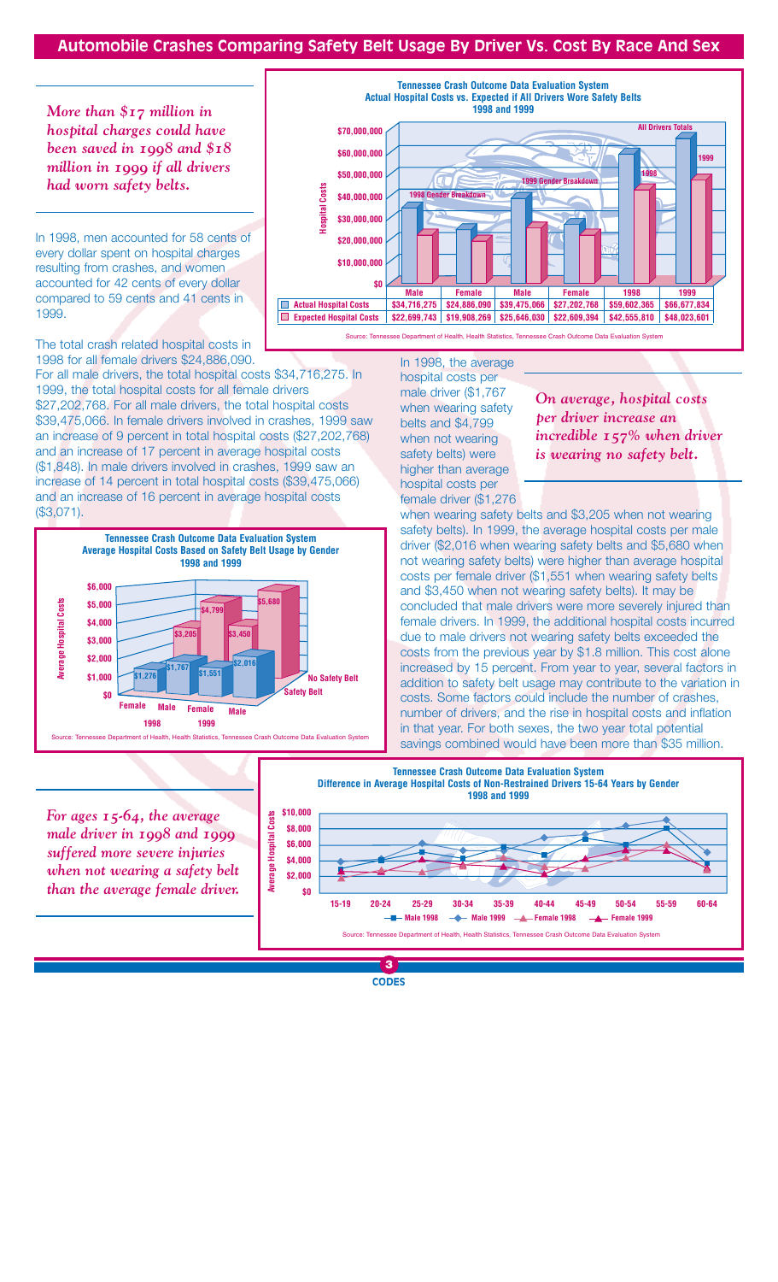## **Automobile Crashes Comparing Safety Belt Usage By Driver Vs. Cost By Race And Sex**

*More than \$17 million in hospital charges could have been saved in 1998 and \$18 million in 1999 if all drivers had worn safety belts.*

In 1998, men accounted for 58 cents of every dollar spent on hospital charges resulting from crashes, and women accounted for 42 cents of every dollar compared to 59 cents and 41 cents in 1999.

The total crash related hospital costs in 1998 for all female drivers \$24,886,090.

For all male drivers, the total hospital costs \$34,716,275. In 1999, the total hospital costs for all female drivers \$27,202,768. For all male drivers, the total hospital costs \$39,475,066. In female drivers involved in crashes, 1999 saw an increase of 9 percent in total hospital costs (\$27,202,768) and an increase of 17 percent in average hospital costs (\$1,848). In male drivers involved in crashes, 1999 saw an increase of 14 percent in total hospital costs (\$39,475,066) and an increase of 16 percent in average hospital costs (\$3,071).



**Actual Hospital Costs vs. Expected if All Drivers Wore Safety Belts 1998 and 1999 All Drivers Totals \$70,000,000 \$60,000,000 1999 \$50,000,000 1998 1999 Gender Breakdov** Costs **Hospital Costs \$40,000,000 1998 Gender Break Hospital \$30,000,000 \$20,000,000 \$10,000,000 \$0 Male Female Male Female 1998 1999 Actual Hospital Costs** \$34,716,275 \$24,886,090 \$39,475,066 \$27,202,768 \$59,602,365 \$66,677,834 **Expected Hospital Costs** \$22,699,743 \$19,908,269 \$25,646,030 \$22,609,394 \$42,555,810 \$48,023,601

**Tennessee Crash Outcome Data Evaluation System**

Source: Tennessee Department of Health, Health Statistics, Tennessee Crash Outcome Data Evaluation System

In 1998, the average hospital costs per male driver (\$1,767 when wearing safety belts and \$4,799 when not wearing safety belts) were higher than average hospital costs per female driver (\$1,276

*On average, hospital costs per driver increase an incredible 157% when driver is wearing no safety belt.*

when wearing safety belts and \$3,205 when not wearing safety belts). In 1999, the average hospital costs per male driver (\$2,016 when wearing safety belts and \$5,680 when not wearing safety belts) were higher than average hospital costs per female driver (\$1,551 when wearing safety belts and \$3,450 when not wearing safety belts). It may be concluded that male drivers were more severely injured than female drivers. In 1999, the additional hospital costs incurred due to male drivers not wearing safety belts exceeded the costs from the previous year by \$1.8 million. This cost alone increased by 15 percent. From year to year, several factors in addition to safety belt usage may contribute to the variation in costs. Some factors could include the number of crashes, number of drivers, and the rise in hospital costs and inflation in that year. For both sexes, the two year total potential savings combined would have been more than \$35 million.



*For ages 15-64, the average male driver in 1998 and 1999 suffered more severe injuries when not wearing a safety belt than the average female driver.*